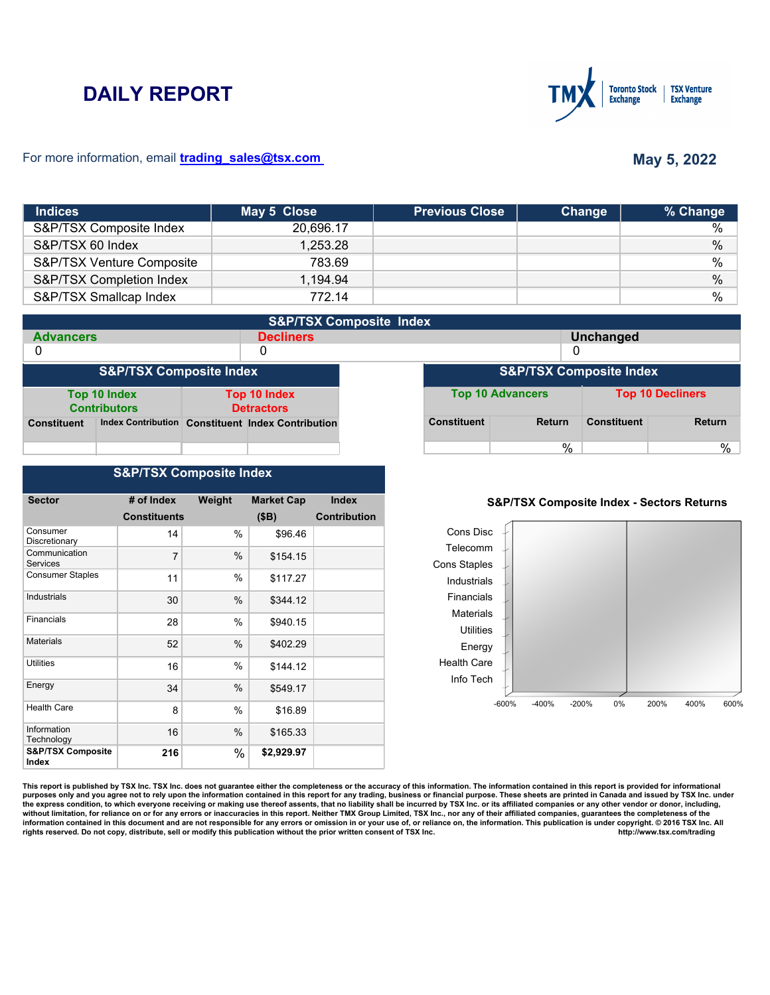# **DAILY REPORT**



#### For more information, email **trading\_sales@tsx.com**

## **May 5, 2022**

| <b>Indices</b>            | May 5 Close | <b>Previous Close</b> | Change | % Change |
|---------------------------|-------------|-----------------------|--------|----------|
| S&P/TSX Composite Index   | 20,696.17   |                       |        | %        |
| S&P/TSX 60 Index          | 1,253.28    |                       |        | $\%$     |
| S&P/TSX Venture Composite | 783.69      |                       |        | $\%$     |
| S&P/TSX Completion Index  | 1,194.94    |                       |        | $\%$     |
| S&P/TSX Smallcap Index    | 772.14      |                       |        | $\%$     |

|                                    | <b>S&amp;P/TSX Composite Index</b>  |  |                                                   |                                    |                    |                         |                    |                         |
|------------------------------------|-------------------------------------|--|---------------------------------------------------|------------------------------------|--------------------|-------------------------|--------------------|-------------------------|
| <b>Advancers</b>                   |                                     |  | <b>Decliners</b>                                  |                                    | <b>Unchanged</b>   |                         |                    |                         |
| 0                                  |                                     |  | 0                                                 |                                    |                    |                         |                    |                         |
| <b>S&amp;P/TSX Composite Index</b> |                                     |  |                                                   | <b>S&amp;P/TSX Composite Index</b> |                    |                         |                    |                         |
|                                    | Top 10 Index<br><b>Contributors</b> |  | <b>Top 10 Index</b><br><b>Detractors</b>          |                                    |                    | <b>Top 10 Advancers</b> |                    | <b>Top 10 Decliners</b> |
| <b>Constituent</b>                 |                                     |  | Index Contribution Constituent Index Contribution |                                    | <b>Constituent</b> | <b>Return</b>           | <b>Constituent</b> | <b>Return</b>           |
|                                    |                                     |  |                                                   |                                    |                    | %                       |                    | %                       |

#### **S&P/TSX Composite Index**

| <b>Sector</b>                         | # of Index          | Weight | <b>Market Cap</b> | <b>Index</b>        |
|---------------------------------------|---------------------|--------|-------------------|---------------------|
|                                       | <b>Constituents</b> |        | (SB)              | <b>Contribution</b> |
| Consumer<br>Discretionary             | 14                  | $\%$   | \$96.46           |                     |
| Communication<br>Services             | $\overline{7}$      | $\%$   | \$154.15          |                     |
| <b>Consumer Staples</b>               | 11                  | $\%$   | \$117.27          |                     |
| Industrials                           | 30                  | $\%$   | \$344.12          |                     |
| Financials                            | 28                  | $\%$   | \$940.15          |                     |
| <b>Materials</b>                      | 52                  | $\%$   | \$402.29          |                     |
| <b>Utilities</b>                      | 16                  | $\%$   | \$144.12          |                     |
| Energy                                | 34                  | %      | \$549.17          |                     |
| <b>Health Care</b>                    | 8                   | %      | \$16.89           |                     |
| Information<br>Technology             | 16                  | %      | \$165.33          |                     |
| <b>S&amp;P/TSX Composite</b><br>Index | 216                 | %      | \$2,929.97        |                     |

### **S&P/TSX Composite Index - Sectors Returns**



This report is published by TSX Inc. TSX Inc. does not guarantee either the completeness or the accuracy of this information. The information contained in this report is provided for informational **purposes only and you agree not to rely upon the information contained in this report for any trading, business or financial purpose. These sheets are printed in Canada and issued by TSX Inc. under**  the express condition, to which everyone receiving or making use thereof assents, that no liability shall be incurred by TSX Inc. or its affiliated companies or any other vendor or donor, including,<br>without limitation, for information contained in this document and are not responsible for any errors or omission in or your use of, or reliance on, the information. This publication is under copyright. © 2016 TSX Inc. All <br>
rights reserved. Do n rights reserved. Do not copy, distribute, sell or modify this publication without the prior written consent of TSX Inc.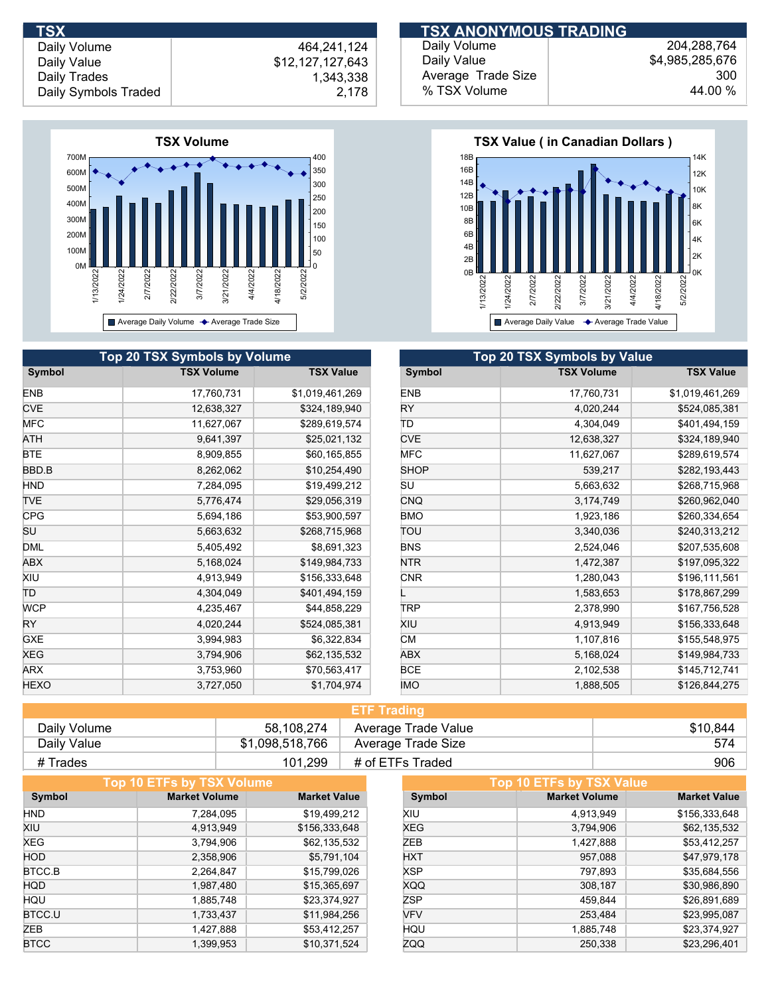

| <b>Top 20 TSX Symbols by Volume</b> |                   |                  |             | Top 20 TSX Symbols by Value |  |
|-------------------------------------|-------------------|------------------|-------------|-----------------------------|--|
| Symbol                              | <b>TSX Volume</b> | <b>TSX Value</b> | Symbol      | <b>TSX Volume</b>           |  |
| <b>ENB</b>                          | 17,760,731        | \$1,019,461,269  | <b>ENB</b>  | 17,760,731                  |  |
| <b>CVE</b>                          | 12,638,327        | \$324,189,940    | <b>RY</b>   | 4,020,244                   |  |
| <b>MFC</b>                          | 11,627,067        | \$289,619,574    | ΤD          | 4,304,049                   |  |
| ATH                                 | 9,641,397         | \$25,021,132     | <b>CVE</b>  | 12,638,327                  |  |
| <b>BTE</b>                          | 8,909,855         | \$60,165,855     | <b>MFC</b>  | 11,627,067                  |  |
| BBD.B                               | 8,262,062         | \$10,254,490     | <b>SHOP</b> | 539,217                     |  |
| <b>HND</b>                          | 7,284,095         | \$19,499,212     | SU          | 5,663,632                   |  |
| <b>TVE</b>                          | 5,776,474         | \$29,056,319     | <b>CNQ</b>  | 3,174,749                   |  |
| <b>CPG</b>                          | 5,694,186         | \$53,900,597     | <b>BMO</b>  | 1,923,186                   |  |
| SU                                  | 5,663,632         | \$268,715,968    | TOU         | 3,340,036                   |  |
| <b>DML</b>                          | 5,405,492         | \$8,691,323      | <b>BNS</b>  | 2,524,046                   |  |
| ABX                                 | 5,168,024         | \$149,984,733    | <b>NTR</b>  | 1,472,387                   |  |
| XIU                                 | 4,913,949         | \$156,333,648    | <b>CNR</b>  | 1,280,043                   |  |
| TD                                  | 4,304,049         | \$401,494,159    |             | 1,583,653                   |  |
| <b>WCP</b>                          | 4,235,467         | \$44,858,229     | TRP         | 2,378,990                   |  |
| <b>RY</b>                           | 4,020,244         | \$524,085,381    | XIU         | 4,913,949                   |  |
| <b>GXE</b>                          | 3,994,983         | \$6,322,834      | <b>CM</b>   | 1,107,816                   |  |
| XEG                                 | 3,794,906         | \$62,135,532     | <b>ABX</b>  | 5,168,024                   |  |
| ARX                                 | 3,753,960         | \$70,563,417     | <b>BCE</b>  | 2,102,538                   |  |
| <b>HEXO</b>                         | 3,727,050         | \$1,704,974      | <b>IMO</b>  | 1,888,505                   |  |

| <b>TSX</b>           |                  | <b>ITSX ANONYMOUS TRADING !</b> |                 |  |
|----------------------|------------------|---------------------------------|-----------------|--|
| Daily Volume         | 464.241.124      | Daily Volume                    | 204,288,764     |  |
| Daily Value          | \$12,127,127,643 | Daily Value                     | \$4,985,285,676 |  |
| Daily Trades         | 1.343.338        | Average Trade Size              | 300             |  |
| Daily Symbols Traded | 2.178            | % TSX Volume                    | 44.00 %         |  |



|             | <b>Top 20 TSX Symbols by Value</b> |                  |  |  |  |
|-------------|------------------------------------|------------------|--|--|--|
| Symbol      | <b>TSX Volume</b>                  | <b>TSX Value</b> |  |  |  |
| <b>ENB</b>  | 17,760,731                         | \$1,019,461,269  |  |  |  |
| RY          | 4,020,244                          | \$524,085,381    |  |  |  |
| TΡ          | 4,304,049                          | \$401,494,159    |  |  |  |
| <b>CVE</b>  | 12,638,327                         | \$324,189,940    |  |  |  |
| <b>MFC</b>  | 11,627,067                         | \$289,619,574    |  |  |  |
| <b>SHOP</b> | 539,217                            | \$282,193,443    |  |  |  |
| SU          | 5,663,632                          | \$268,715,968    |  |  |  |
| <b>CNQ</b>  | 3,174,749                          | \$260,962,040    |  |  |  |
| <b>BMO</b>  | 1,923,186                          | \$260,334,654    |  |  |  |
| ΤΟυ         | 3,340,036                          | \$240,313,212    |  |  |  |
| <b>BNS</b>  | 2,524,046                          | \$207,535,608    |  |  |  |
| <b>NTR</b>  | 1,472,387                          | \$197,095,322    |  |  |  |
| <b>CNR</b>  | 1,280,043                          | \$196,111,561    |  |  |  |
|             | 1,583,653                          | \$178,867,299    |  |  |  |
| TRP         | 2,378,990                          | \$167,756,528    |  |  |  |
| XIU         | 4,913,949                          | \$156,333,648    |  |  |  |
| <b>CM</b>   | 1,107,816                          | \$155,548,975    |  |  |  |
| <b>ABX</b>  | 5,168,024                          | \$149,984,733    |  |  |  |
| <b>BCE</b>  | 2,102,538                          | \$145,712,741    |  |  |  |
| <b>IMO</b>  | 1,888,505                          | \$126,844,275    |  |  |  |

|              |                 | <b>ETF Trading</b>  |          |
|--------------|-----------------|---------------------|----------|
| Daily Volume | 58.108.274      | Average Trade Value | \$10.844 |
| Daily Value  | \$1,098,518,766 | Average Trade Size  | 574      |
| # Trades     | 101.299         | # of ETFs Traded    | 906      |

|             | Top 10 ETFs by TSX Volume |                     |            | Top 10 ETFs by TSX Value |                     |
|-------------|---------------------------|---------------------|------------|--------------------------|---------------------|
| Symbol      | <b>Market Volume</b>      | <b>Market Value</b> | Symbol     | <b>Market Volume</b>     | <b>Market Value</b> |
| <b>HND</b>  | 7,284,095                 | \$19,499,212        | XIU        | 4,913,949                | \$156,333,648       |
| XIU         | 4,913,949                 | \$156,333,648       | <b>XEG</b> | 3,794,906                | \$62,135,532        |
| XEG         | 3,794,906                 | \$62,135,532        | ZEB        | 1,427,888                | \$53,412,257        |
| <b>HOD</b>  | 2,358,906                 | \$5,791,104         | <b>HXT</b> | 957,088                  | \$47,979,178        |
| BTCC.B      | 2,264,847                 | \$15,799,026        | <b>XSP</b> | 797.893                  | \$35,684,556        |
| <b>HQD</b>  | 1,987,480                 | \$15,365,697        | <b>XQQ</b> | 308,187                  | \$30,986,890        |
| HQU         | 1.885.748                 | \$23,374,927        | <b>ZSP</b> | 459,844                  | \$26,891,689        |
| BTCC.U      | 1,733,437                 | \$11,984,256        | <b>VFV</b> | 253,484                  | \$23,995,087        |
| ZEB         | 1,427,888                 | \$53,412,257        | HQU        | 1,885,748                | \$23,374,927        |
| <b>BTCC</b> | 1,399,953                 | \$10,371,524        | ZQQ        | 250.338                  | \$23.296.401        |